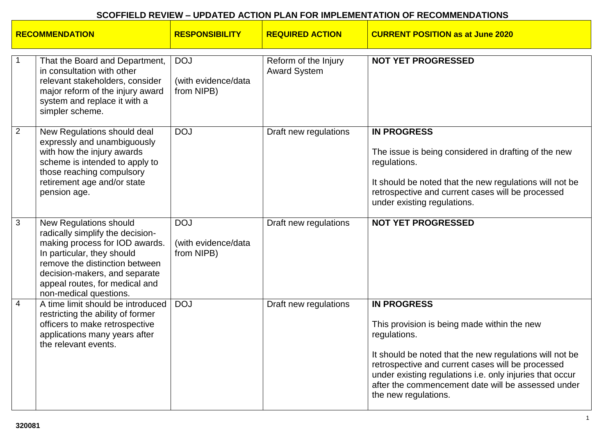| <b>RECOMMENDATION</b> |                                                                                                                                                                                                                                                           | <b>RESPONSIBILITY</b>                           | <b>REQUIRED ACTION</b>                      | <b>CURRENT POSITION as at June 2020</b>                                                                                                                                                                                                                                                                                                     |
|-----------------------|-----------------------------------------------------------------------------------------------------------------------------------------------------------------------------------------------------------------------------------------------------------|-------------------------------------------------|---------------------------------------------|---------------------------------------------------------------------------------------------------------------------------------------------------------------------------------------------------------------------------------------------------------------------------------------------------------------------------------------------|
|                       | That the Board and Department,<br>in consultation with other<br>relevant stakeholders, consider<br>major reform of the injury award<br>system and replace it with a<br>simpler scheme.                                                                    | <b>DOJ</b><br>(with evidence/data<br>from NIPB) | Reform of the Injury<br><b>Award System</b> | <b>NOT YET PROGRESSED</b>                                                                                                                                                                                                                                                                                                                   |
| $\overline{2}$        | New Regulations should deal<br>expressly and unambiguously<br>with how the injury awards<br>scheme is intended to apply to<br>those reaching compulsory<br>retirement age and/or state<br>pension age.                                                    | <b>DOJ</b>                                      | Draft new regulations                       | <b>IN PROGRESS</b><br>The issue is being considered in drafting of the new<br>regulations.<br>It should be noted that the new regulations will not be<br>retrospective and current cases will be processed<br>under existing regulations.                                                                                                   |
| 3                     | New Regulations should<br>radically simplify the decision-<br>making process for IOD awards.<br>In particular, they should<br>remove the distinction between<br>decision-makers, and separate<br>appeal routes, for medical and<br>non-medical questions. | <b>DOJ</b><br>(with evidence/data<br>from NIPB) | Draft new regulations                       | <b>NOT YET PROGRESSED</b>                                                                                                                                                                                                                                                                                                                   |
| $\overline{4}$        | A time limit should be introduced<br>restricting the ability of former<br>officers to make retrospective<br>applications many years after<br>the relevant events.                                                                                         | <b>DOJ</b>                                      | Draft new regulations                       | <b>IN PROGRESS</b><br>This provision is being made within the new<br>regulations.<br>It should be noted that the new regulations will not be<br>retrospective and current cases will be processed<br>under existing regulations i.e. only injuries that occur<br>after the commencement date will be assessed under<br>the new regulations. |

 $\mathbf{r}$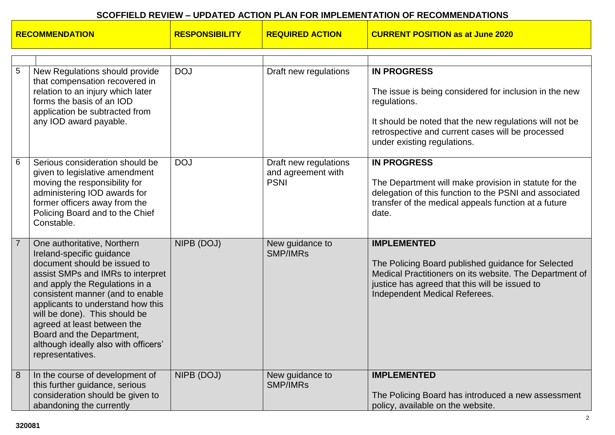| <b>RECOMMENDATION</b> |                                                                                                                                                                                                                                                                                                                                                                                                   | <b>RESPONSIBILITY</b> | <b>REQUIRED ACTION</b>                                     | <b>CURRENT POSITION as at June 2020</b>                                                                                                                                                                                                     |
|-----------------------|---------------------------------------------------------------------------------------------------------------------------------------------------------------------------------------------------------------------------------------------------------------------------------------------------------------------------------------------------------------------------------------------------|-----------------------|------------------------------------------------------------|---------------------------------------------------------------------------------------------------------------------------------------------------------------------------------------------------------------------------------------------|
|                       |                                                                                                                                                                                                                                                                                                                                                                                                   |                       |                                                            |                                                                                                                                                                                                                                             |
| 5                     | New Regulations should provide<br>that compensation recovered in<br>relation to an injury which later<br>forms the basis of an IOD<br>application be subtracted from<br>any IOD award payable.                                                                                                                                                                                                    | <b>DOJ</b>            | Draft new regulations                                      | <b>IN PROGRESS</b><br>The issue is being considered for inclusion in the new<br>regulations.<br>It should be noted that the new regulations will not be<br>retrospective and current cases will be processed<br>under existing regulations. |
| 6                     | Serious consideration should be<br>given to legislative amendment<br>moving the responsibility for<br>administering IOD awards for<br>former officers away from the<br>Policing Board and to the Chief<br>Constable.                                                                                                                                                                              | <b>DOJ</b>            | Draft new regulations<br>and agreement with<br><b>PSNI</b> | <b>IN PROGRESS</b><br>The Department will make provision in statute for the<br>delegation of this function to the PSNI and associated<br>transfer of the medical appeals function at a future<br>date.                                      |
| $\overline{7}$        | One authoritative, Northern<br>Ireland-specific guidance<br>document should be issued to<br>assist SMPs and IMRs to interpret<br>and apply the Regulations in a<br>consistent manner (and to enable<br>applicants to understand how this<br>will be done). This should be<br>agreed at least between the<br>Board and the Department,<br>although ideally also with officers'<br>representatives. | NIPB (DOJ)            | New guidance to<br><b>SMP/IMRs</b>                         | <b>IMPLEMENTED</b><br>The Policing Board published guidance for Selected<br>Medical Practitioners on its website. The Department of<br>justice has agreed that this will be issued to<br>Independent Medical Referees.                      |
| 8                     | In the course of development of<br>this further guidance, serious<br>consideration should be given to<br>abandoning the currently                                                                                                                                                                                                                                                                 | NIPB (DOJ)            | New guidance to<br><b>SMP/IMRs</b>                         | <b>IMPLEMENTED</b><br>The Policing Board has introduced a new assessment<br>policy, available on the website.                                                                                                                               |

 $\mathbb{R}$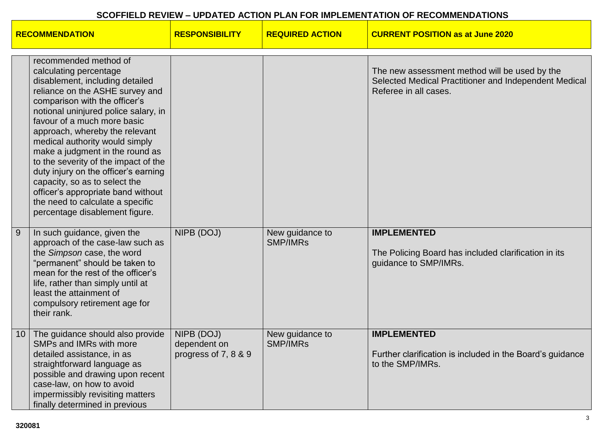| <b>RECOMMENDATION</b> |                                                                                                                                                                                                                                                                                                                                                                                                                                                                                                                                                                   | <b>RESPONSIBILITY</b>                              | <b>REQUIRED ACTION</b>             | <b>CURRENT POSITION as at June 2020</b>                                                                                         |
|-----------------------|-------------------------------------------------------------------------------------------------------------------------------------------------------------------------------------------------------------------------------------------------------------------------------------------------------------------------------------------------------------------------------------------------------------------------------------------------------------------------------------------------------------------------------------------------------------------|----------------------------------------------------|------------------------------------|---------------------------------------------------------------------------------------------------------------------------------|
|                       | recommended method of<br>calculating percentage<br>disablement, including detailed<br>reliance on the ASHE survey and<br>comparison with the officer's<br>notional uninjured police salary, in<br>favour of a much more basic<br>approach, whereby the relevant<br>medical authority would simply<br>make a judgment in the round as<br>to the severity of the impact of the<br>duty injury on the officer's earning<br>capacity, so as to select the<br>officer's appropriate band without<br>the need to calculate a specific<br>percentage disablement figure. |                                                    |                                    | The new assessment method will be used by the<br>Selected Medical Practitioner and Independent Medical<br>Referee in all cases. |
| $\overline{9}$        | In such guidance, given the<br>approach of the case-law such as<br>the Simpson case, the word<br>"permanent" should be taken to<br>mean for the rest of the officer's<br>life, rather than simply until at<br>least the attainment of<br>compulsory retirement age for<br>their rank.                                                                                                                                                                                                                                                                             | NIPB (DOJ)                                         | New guidance to<br><b>SMP/IMRs</b> | <b>IMPLEMENTED</b><br>The Policing Board has included clarification in its<br>guidance to SMP/IMRs.                             |
| 10                    | The guidance should also provide<br>SMPs and IMRs with more<br>detailed assistance, in as<br>straightforward language as<br>possible and drawing upon recent<br>case-law, on how to avoid<br>impermissibly revisiting matters<br>finally determined in previous                                                                                                                                                                                                                                                                                                   | NIPB (DOJ)<br>dependent on<br>progress of 7, 8 & 9 | New guidance to<br><b>SMP/IMRs</b> | <b>IMPLEMENTED</b><br>Further clarification is included in the Board's guidance<br>to the SMP/IMRs.                             |

 $\blacksquare$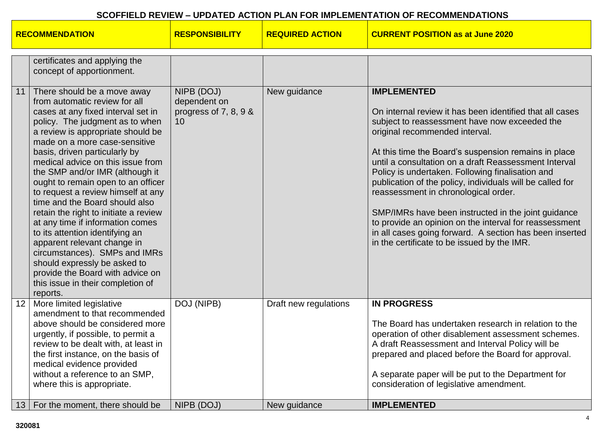| certificates and applying the<br>concept of apportionment.<br>NIPB (DOJ)<br>New guidance<br><b>IMPLEMENTED</b><br>There should be a move away<br>11<br>from automatic review for all<br>dependent on<br>cases at any fixed interval set in<br>progress of 7, 8, 9 &<br>policy. The judgment as to when<br>subject to reassessment have now exceeded the<br>10<br>a review is appropriate should be<br>original recommended interval.<br>made on a more case-sensitive<br>At this time the Board's suspension remains in place<br>basis, driven particularly by<br>until a consultation on a draft Reassessment Interval<br>medical advice on this issue from<br>the SMP and/or IMR (although it<br>Policy is undertaken. Following finalisation and<br>publication of the policy, individuals will be called for<br>ought to remain open to an officer<br>to request a review himself at any<br>reassessment in chronological order.<br>time and the Board should also<br>retain the right to initiate a review<br>at any time if information comes<br>to its attention identifying an<br>apparent relevant change in<br>in the certificate to be issued by the IMR.<br>circumstances). SMPs and IMRs<br>should expressly be asked to<br>provide the Board with advice on<br>this issue in their completion of<br>reports.<br>More limited legislative<br>DOJ (NIPB)<br>12 <sup>2</sup><br>Draft new regulations<br><b>IN PROGRESS</b><br>amendment to that recommended<br>above should be considered more<br>The Board has undertaken research in relation to the<br>urgently, if possible, to permit a<br>review to be dealt with, at least in<br>A draft Reassessment and Interval Policy will be<br>prepared and placed before the Board for approval.<br>the first instance, on the basis of<br>medical evidence provided<br>without a reference to an SMP,<br>A separate paper will be put to the Department for<br>where this is appropriate.<br>consideration of legislative amendment. | <b>RECOMMENDATION</b> |                                 | <b>RESPONSIBILITY</b> | <b>REQUIRED ACTION</b> | <b>CURRENT POSITION as at June 2020</b>                                                                                                                                                                                              |
|-------------------------------------------------------------------------------------------------------------------------------------------------------------------------------------------------------------------------------------------------------------------------------------------------------------------------------------------------------------------------------------------------------------------------------------------------------------------------------------------------------------------------------------------------------------------------------------------------------------------------------------------------------------------------------------------------------------------------------------------------------------------------------------------------------------------------------------------------------------------------------------------------------------------------------------------------------------------------------------------------------------------------------------------------------------------------------------------------------------------------------------------------------------------------------------------------------------------------------------------------------------------------------------------------------------------------------------------------------------------------------------------------------------------------------------------------------------------------------------------------------------------------------------------------------------------------------------------------------------------------------------------------------------------------------------------------------------------------------------------------------------------------------------------------------------------------------------------------------------------------------------------------------------------------------------------------------------------------------------------------|-----------------------|---------------------------------|-----------------------|------------------------|--------------------------------------------------------------------------------------------------------------------------------------------------------------------------------------------------------------------------------------|
|                                                                                                                                                                                                                                                                                                                                                                                                                                                                                                                                                                                                                                                                                                                                                                                                                                                                                                                                                                                                                                                                                                                                                                                                                                                                                                                                                                                                                                                                                                                                                                                                                                                                                                                                                                                                                                                                                                                                                                                                 |                       |                                 |                       |                        |                                                                                                                                                                                                                                      |
|                                                                                                                                                                                                                                                                                                                                                                                                                                                                                                                                                                                                                                                                                                                                                                                                                                                                                                                                                                                                                                                                                                                                                                                                                                                                                                                                                                                                                                                                                                                                                                                                                                                                                                                                                                                                                                                                                                                                                                                                 |                       |                                 |                       |                        | On internal review it has been identified that all cases<br>SMP/IMRs have been instructed in the joint guidance<br>to provide an opinion on the interval for reassessment<br>in all cases going forward. A section has been inserted |
| 13 <sup>1</sup>                                                                                                                                                                                                                                                                                                                                                                                                                                                                                                                                                                                                                                                                                                                                                                                                                                                                                                                                                                                                                                                                                                                                                                                                                                                                                                                                                                                                                                                                                                                                                                                                                                                                                                                                                                                                                                                                                                                                                                                 |                       | For the moment, there should be | NIPB (DOJ)            | New guidance           | operation of other disablement assessment schemes.<br><b>IMPLEMENTED</b>                                                                                                                                                             |

a ka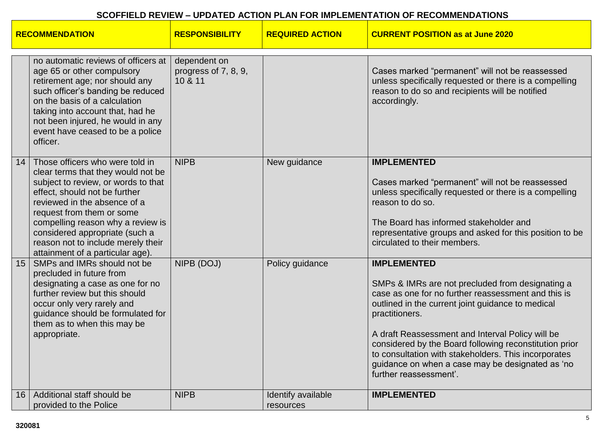| <b>RECOMMENDATION</b> |                                                                                                                                                                                                                                                                                                                                                             | <b>RESPONSIBILITY</b>                           | <b>REQUIRED ACTION</b>          | <b>CURRENT POSITION as at June 2020</b>                                                                                                                                                                                                                                                                                                                                                                                                                  |
|-----------------------|-------------------------------------------------------------------------------------------------------------------------------------------------------------------------------------------------------------------------------------------------------------------------------------------------------------------------------------------------------------|-------------------------------------------------|---------------------------------|----------------------------------------------------------------------------------------------------------------------------------------------------------------------------------------------------------------------------------------------------------------------------------------------------------------------------------------------------------------------------------------------------------------------------------------------------------|
|                       | no automatic reviews of officers at<br>age 65 or other compulsory<br>retirement age; nor should any<br>such officer's banding be reduced<br>on the basis of a calculation<br>taking into account that, had he<br>not been injured, he would in any<br>event have ceased to be a police<br>officer.                                                          | dependent on<br>progress of 7, 8, 9,<br>10 & 11 |                                 | Cases marked "permanent" will not be reassessed<br>unless specifically requested or there is a compelling<br>reason to do so and recipients will be notified<br>accordingly.                                                                                                                                                                                                                                                                             |
| 14                    | Those officers who were told in<br>clear terms that they would not be<br>subject to review, or words to that<br>effect, should not be further<br>reviewed in the absence of a<br>request from them or some<br>compelling reason why a review is<br>considered appropriate (such a<br>reason not to include merely their<br>attainment of a particular age). | <b>NIPB</b>                                     | New guidance                    | <b>IMPLEMENTED</b><br>Cases marked "permanent" will not be reassessed<br>unless specifically requested or there is a compelling<br>reason to do so.<br>The Board has informed stakeholder and<br>representative groups and asked for this position to be<br>circulated to their members.                                                                                                                                                                 |
| 15                    | SMPs and IMRs should not be<br>precluded in future from<br>designating a case as one for no<br>further review but this should<br>occur only very rarely and<br>guidance should be formulated for<br>them as to when this may be<br>appropriate.                                                                                                             | NIPB (DOJ)                                      | Policy guidance                 | <b>IMPLEMENTED</b><br>SMPs & IMRs are not precluded from designating a<br>case as one for no further reassessment and this is<br>outlined in the current joint guidance to medical<br>practitioners.<br>A draft Reassessment and Interval Policy will be<br>considered by the Board following reconstitution prior<br>to consultation with stakeholders. This incorporates<br>guidance on when a case may be designated as 'no<br>further reassessment'. |
| 16                    | Additional staff should be<br>provided to the Police                                                                                                                                                                                                                                                                                                        | <b>NIPB</b>                                     | Identify available<br>resources | <b>IMPLEMENTED</b>                                                                                                                                                                                                                                                                                                                                                                                                                                       |

a ka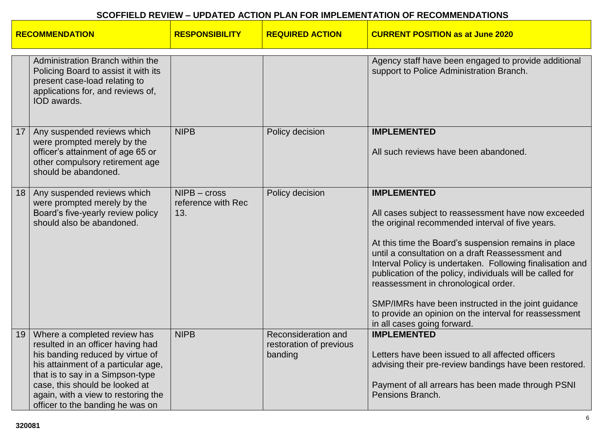| <b>RECOMMENDATION</b> |                                                                                                                                                                                                                                                                                               | <b>RESPONSIBILITY</b>                       | <b>REQUIRED ACTION</b>                                    | <b>CURRENT POSITION as at June 2020</b>                                                                                                                                                                                                                                                                                                                                                                                                                                                                                                                     |
|-----------------------|-----------------------------------------------------------------------------------------------------------------------------------------------------------------------------------------------------------------------------------------------------------------------------------------------|---------------------------------------------|-----------------------------------------------------------|-------------------------------------------------------------------------------------------------------------------------------------------------------------------------------------------------------------------------------------------------------------------------------------------------------------------------------------------------------------------------------------------------------------------------------------------------------------------------------------------------------------------------------------------------------------|
|                       | Administration Branch within the<br>Policing Board to assist it with its<br>present case-load relating to<br>applications for, and reviews of,<br>IOD awards.                                                                                                                                 |                                             |                                                           | Agency staff have been engaged to provide additional<br>support to Police Administration Branch.                                                                                                                                                                                                                                                                                                                                                                                                                                                            |
| 17                    | Any suspended reviews which<br>were prompted merely by the<br>officer's attainment of age 65 or<br>other compulsory retirement age<br>should be abandoned.                                                                                                                                    | <b>NIPB</b>                                 | Policy decision                                           | <b>IMPLEMENTED</b><br>All such reviews have been abandoned.                                                                                                                                                                                                                                                                                                                                                                                                                                                                                                 |
| 18                    | Any suspended reviews which<br>were prompted merely by the<br>Board's five-yearly review policy<br>should also be abandoned.                                                                                                                                                                  | $NIPB - cross$<br>reference with Rec<br>13. | Policy decision                                           | <b>IMPLEMENTED</b><br>All cases subject to reassessment have now exceeded<br>the original recommended interval of five years.<br>At this time the Board's suspension remains in place<br>until a consultation on a draft Reassessment and<br>Interval Policy is undertaken. Following finalisation and<br>publication of the policy, individuals will be called for<br>reassessment in chronological order.<br>SMP/IMRs have been instructed in the joint guidance<br>to provide an opinion on the interval for reassessment<br>in all cases going forward. |
| 19                    | Where a completed review has<br>resulted in an officer having had<br>his banding reduced by virtue of<br>his attainment of a particular age,<br>that is to say in a Simpson-type<br>case, this should be looked at<br>again, with a view to restoring the<br>officer to the banding he was on | <b>NIPB</b>                                 | Reconsideration and<br>restoration of previous<br>banding | <b>IMPLEMENTED</b><br>Letters have been issued to all affected officers<br>advising their pre-review bandings have been restored.<br>Payment of all arrears has been made through PSNI<br>Pensions Branch.                                                                                                                                                                                                                                                                                                                                                  |